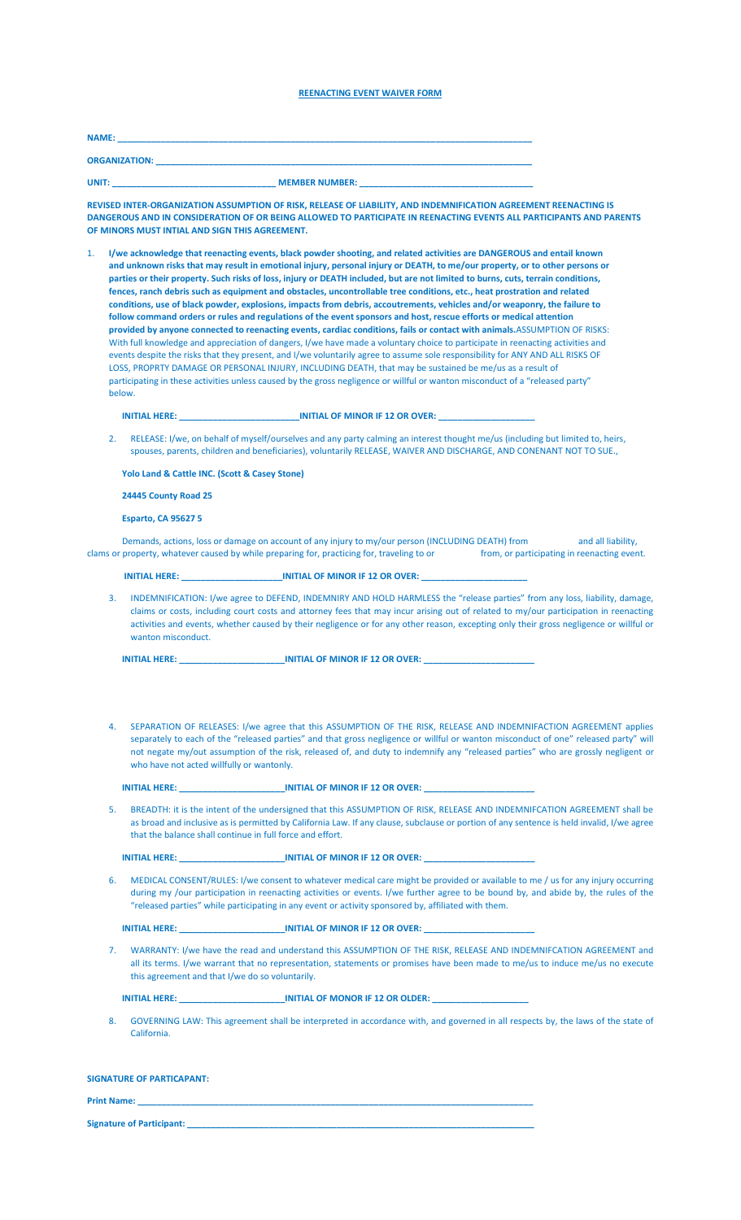### **REENACTING EVENT WAIVER FORM**

| <b>NAME:</b>         |                       |  |
|----------------------|-----------------------|--|
| <b>ORGANIZATION:</b> |                       |  |
| UNIT:                | <b>MEMBER NUMBER:</b> |  |

**REVISED INTER-ORGANIZATION ASSUMPTION OF RISK, RELEASE OF LIABILITY, AND INDEMNIFICATION AGREEMENT REENACTING IS DANGEROUS AND IN CONSIDERATION OF OR BEING ALLOWED TO PARTICIPATE IN REENACTING EVENTS ALL PARTICIPANTS AND PARENTS OF MINORS MUST INTIAL AND SIGN THIS AGREEMENT.**

1. **I/we acknowledge that reenacting events, black powder shooting, and related activities are DANGEROUS and entail known and unknown risks that may result in emotional injury, personal injury or DEATH, to me/our property, or to other persons or parties or their property. Such risks of loss, injury or DEATH included, but are not limited to burns, cuts, terrain conditions, fences, ranch debris such as equipment and obstacles, uncontrollable tree conditions, etc., heat prostration and related conditions, use of black powder, explosions, impacts from debris, accoutrements, vehicles and/or weaponry, the failure to follow command orders or rules and regulations of the event sponsors and host, rescue efforts or medical attention provided by anyone connected to reenacting events, cardiac conditions, fails or contact with animals.**ASSUMPTION OF RISKS: With full knowledge and appreciation of dangers, I/we have made a voluntary choice to participate in reenacting activities and events despite the risks that they present, and I/we voluntarily agree to assume sole responsibility for ANY AND ALL RISKS OF LOSS, PROPRTY DAMAGE OR PERSONAL INJURY, INCLUDING DEATH, that may be sustained be me/us as a result of participating in these activities unless caused by the gross negligence or willful or wanton misconduct of a "released party" below.

#### **INITIAL HERE: INITIAL OF MINOR IF 12 OR OVER:**

2. RELEASE: I/we, on behalf of myself/ourselves and any party calming an interest thought me/us (including but limited to, heirs, spouses, parents, children and beneficiaries), voluntarily RELEASE, WAIVER AND DISCHARGE, AND CONENANT NOT TO SUE.,

### **Yolo Land & Cattle INC. (Scott & Casey Stone)**

### **24445 County Road 25**

#### **Esparto, CA 95627 5**

Demands, actions, loss or damage on account of any injury to my/our person (INCLUDING DEATH) from and all liability, clams or property, whatever caused by while preparing for, practicing for, traveling to or from, or participating in reenacting event.

#### **INITIAL HERE:** *INITIAL OF MINOR IF 12 OR OVER:*

3. INDEMNIFICATION: I/we agree to DEFEND, INDEMNIRY AND HOLD HARMLESS the "release parties" from any loss, liability, damage, claims or costs, including court costs and attorney fees that may incur arising out of related to my/our participation in reenacting activities and events, whether caused by their negligence or for any other reason, excepting only their gross negligence or willful or wanton misconduct.

| <b>INITIAL HERE:</b> | <b>INITIAL OF MINOR IF 12 OR OVER:</b> |  |
|----------------------|----------------------------------------|--|
|                      |                                        |  |

4. SEPARATION OF RELEASES: I/we agree that this ASSUMPTION OF THE RISK, RELEASE AND INDEMNIFACTION AGREEMENT applies separately to each of the "released parties" and that gross negligence or willful or wanton misconduct of one" released party" will not negate my/out assumption of the risk, released of, and duty to indemnify any "released parties" who are grossly negligent or who have not acted willfully or wantonly.

#### **INITIAL HERE: INITIAL OF MINOR IF 12 OR OVER:**

5. BREADTH: it is the intent of the undersigned that this ASSUMPTION OF RISK, RELEASE AND INDEMNIFCATION AGREEMENT shall be as broad and inclusive as is permitted by California Law. If any clause, subclause or portion of any sentence is held invalid, I/we agree that the balance shall continue in full force and effort.

**INITIAL HERE: INITIAL OF MINOR IF 12 OR OVER:** 

6. MEDICAL CONSENT/RULES: I/we consent to whatever medical care might be provided or available to me / us for any injury occurring during my /our participation in reenacting activities or events. I/we further agree to be bound by, and abide by, the rules of the "released parties" while participating in any event or activity sponsored by, affiliated with them.

**INITIAL HERE: \_\_\_\_\_\_\_\_\_\_\_\_\_\_\_\_\_\_\_\_\_\_INITIAL OF MINOR IF 12 OR OVER: \_\_\_\_\_\_\_\_\_\_\_\_\_\_\_\_\_\_\_\_\_\_\_**

7. WARRANTY: I/we have the read and understand this ASSUMPTION OF THE RISK, RELEASE AND INDEMNIFCATION AGREEMENT and all its terms. I/we warrant that no representation, statements or promises have been made to me/us to induce me/us no execute this agreement and that I/we do so voluntarily.

**INITIAL HERE: INITIAL OF MONOR IF 12 OR OLDER:** 

8. GOVERNING LAW: This agreement shall be interpreted in accordance with, and governed in all respects by, the laws of the state of California.

| <b>SIGNATURE OF PARTICAPANT:</b> |
|----------------------------------|
|----------------------------------|

**Print Name: \_\_\_\_\_\_\_\_\_\_\_\_\_\_\_\_\_\_\_\_\_\_\_\_\_\_\_\_\_\_\_\_\_\_\_\_\_\_\_\_\_\_\_\_\_\_\_\_\_\_\_\_\_\_\_\_\_\_\_\_\_\_\_\_\_\_\_\_\_\_\_\_\_\_\_\_\_\_\_\_\_\_ Signature of Participant:**